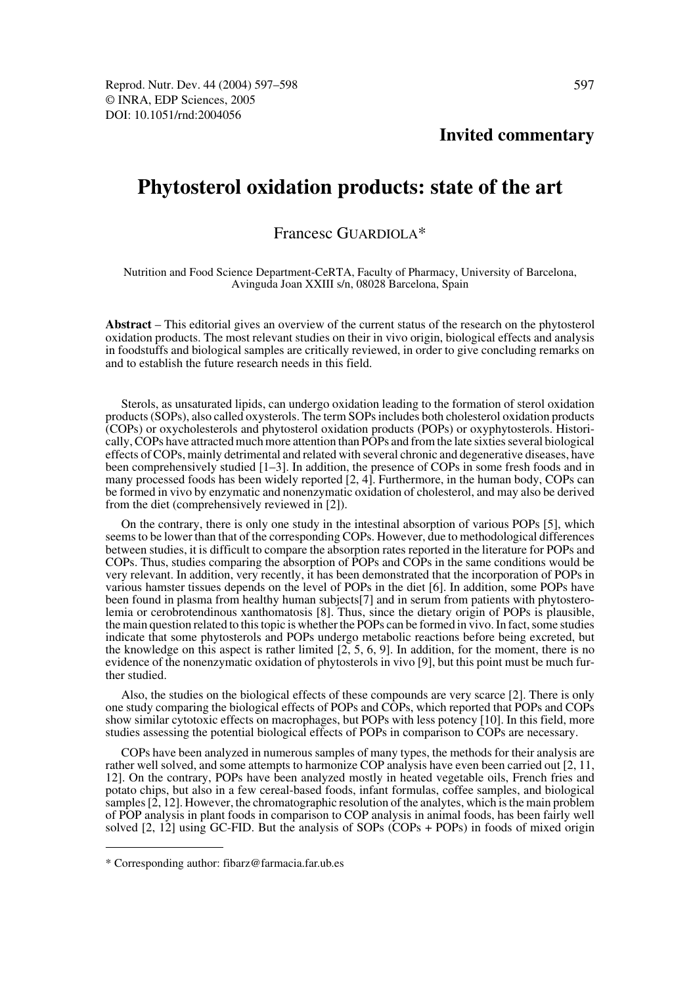## **Invited commentary**

# **Phytosterol oxidation products: state of the art**

## Francesc GUARDIOLA\*

#### Nutrition and Food Science Department-CeRTA, Faculty of Pharmacy, University of Barcelona, Avinguda Joan XXIII s/n, 08028 Barcelona, Spain

**Abstract** – This editorial gives an overview of the current status of the research on the phytosterol oxidation products. The most relevant studies on their in vivo origin, biological effects and analysis in foodstuffs and biological samples are critically reviewed, in order to give concluding remarks on and to establish the future research needs in this field.

Sterols, as unsaturated lipids, can undergo oxidation leading to the formation of sterol oxidation products (SOPs), also called oxysterols. The term SOPs includes both cholesterol oxidation products (COPs) or oxycholesterols and phytosterol oxidation products (POPs) or oxyphytosterols. Historically, COPs have attracted much more attention than POPs and from the late sixties several biological effects of COPs, mainly detrimental and related with several chronic and degenerative diseases, have been comprehensively studied [1–3]. In addition, the presence of COPs in some fresh foods and in many processed foods has been widely reported [2, 4]. Furthermore, in the human body, COPs can be formed in vivo by enzymatic and nonenzymatic oxidation of cholesterol, and may also be derived from the diet (comprehensively reviewed in [2]).

On the contrary, there is only one study in the intestinal absorption of various POPs [5], which seems to be lower than that of the corresponding COPs. However, due to methodological differences between studies, it is difficult to compare the absorption rates reported in the literature for POPs and COPs. Thus, studies comparing the absorption of POPs and COPs in the same conditions would be very relevant. In addition, very recently, it has been demonstrated that the incorporation of POPs in various hamster tissues depends on the level of POPs in the diet [6]. In addition, some POPs have been found in plasma from healthy human subjects[7] and in serum from patients with phytosterolemia or cerobrotendinous xanthomatosis [8]. Thus, since the dietary origin of POPs is plausible, the main question related to this topic is whether the POPs can be formed in vivo. In fact, some studies indicate that some phytosterols and POPs undergo metabolic reactions before being excreted, but the knowledge on this aspect is rather limited  $[2, 5, 6, 9]$ . In addition, for the moment, there is no evidence of the nonenzymatic oxidation of phytosterols in vivo [9], but this point must be much further studied.

Also, the studies on the biological effects of these compounds are very scarce [2]. There is only one study comparing the biological effects of POPs and COPs, which reported that POPs and COPs show similar cytotoxic effects on macrophages, but POPs with less potency [10]. In this field, more studies assessing the potential biological effects of POPs in comparison to COPs are necessary.

COPs have been analyzed in numerous samples of many types, the methods for their analysis are rather well solved, and some attempts to harmonize COP analysis have even been carried out [2, 11, 12]. On the contrary, POPs have been analyzed mostly in heated vegetable oils, French fries and potato chips, but also in a few cereal-based foods, infant formulas, coffee samples, and biological samples [2, 12]. However, the chromatographic resolution of the analytes, which is the main problem of POP analysis in plant foods in comparison to COP analysis in animal foods, has been fairly well solved [2, 12] using GC-FID. But the analysis of SOPs (COPs + POPs) in foods of mixed origin

<sup>\*</sup> Corresponding author: fibarz@farmacia.far.ub.es